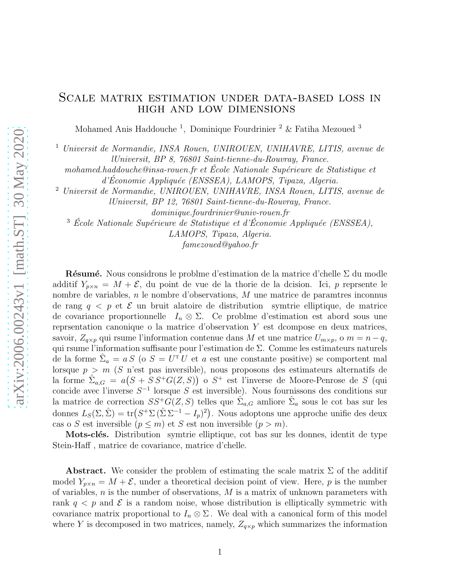#### Scale matrix estimation under data-based loss in high and low dimensions

Mohamed Anis Haddouche<sup>1</sup>, Dominique Fourdrinier<sup>2</sup> & Fatiha Mezoued<sup>3</sup>

<sup>1</sup> Universit de Normandie, INSA Rouen, UNIROUEN, UNIHAVRE, LITIS, avenue de lUniversit, BP 8, 76801 Saint-tienne-du-Rouvray, France.

mohamed.haddouche@insa-rouen.fr et École Nationale Supérieure de Statistique et d'Économie Appliquée (ENSSEA), LAMOPS, Tipaza, Algeria.

<sup>2</sup> Universit de Normandie, UNIROUEN, UNIHAVRE, INSA Rouen, LITIS, avenue de lUniversit, BP 12, 76801 Saint-tienne-du-Rouvray, France.

dominique.fourdrinier@univ-rouen.fr

 $3$  École Nationale Supérieure de Statistique et d'Économie Appliquée (ENSSEA),

LAMOPS, Tipaza, Algeria.

famezoued@yahoo.fr

Résumé. Nous considrons le problme d'estimation de la matrice d'chelle  $\Sigma$  du modle additif  $Y_{p\times n} = M + \mathcal{E}$ , du point de vue de la thorie de la dcision. Ici, p reprsente le nombre de variables, n le nombre d'observations, M une matrice de paramtres inconnus de rang  $q \leq p$  et  $\mathcal E$  un bruit alatoire de distribution symtrie elliptique, de matrice de covariance proportionnelle  $I_n \otimes \Sigma$ . Ce problme d'estimation est abord sous une reprsentation canonique o la matrice d'observation Y est dcompose en deux matrices, savoir,  $Z_{q\times p}$  qui rsume l'information contenue dans M et une matrice  $U_{m\times p}$ , o  $m = n - q$ , qui rsume l'information suffisante pour l'estimation de Σ. Comme les estimateurs naturels de la forme  $\hat{\Sigma}_a = a S$  (o  $S = U^T U$  et a est une constante positive) se comportent mal lorsque  $p > m$  (S n'est pas inversible), nous proposons des estimateurs alternatifs de la forme  $\hat{\Sigma}_{a,G} = a(S + SS^+G(Z, S))$  o  $S^+$  est l'inverse de Moore-Penrose de S (qui concide avec l'inverse  $S^{-1}$  lorsque S est inversible). Nous fournissons des conditions sur la matrice de correction  $SS^+G(Z, S)$  telles que  $\hat{\Sigma}_{a,G}$  amliore  $\hat{\Sigma}_a$  sous le cot bas sur les donnes  $L_S(\Sigma, \hat{\Sigma}) = \text{tr}(S^+ \Sigma (\hat{\Sigma} \Sigma^{-1} - I_p)^2)$ . Nous adoptons une approche unifie des deux cas o S est inversible  $(p \leq m)$  et S est non inversible  $(p > m)$ .

Mots-clés. Distribution symtrie elliptique, cot bas sur les donnes, identit de type Stein-Haff , matrice de covariance, matrice d'chelle.

**Abstract.** We consider the problem of estimating the scale matrix  $\Sigma$  of the additif model  $Y_{p\times n} = M + \mathcal{E}$ , under a theoretical decision point of view. Here, p is the number of variables,  $n$  is the number of observations,  $M$  is a matrix of unknown parameters with rank  $q < p$  and  $\mathcal E$  is a random noise, whose distribution is elliptically symmetric with covariance matrix proportional to  $I_n \otimes \Sigma$ . We deal with a canonical form of this model where Y is decomposed in two matrices, namely,  $Z_{q\times p}$  which summarizes the information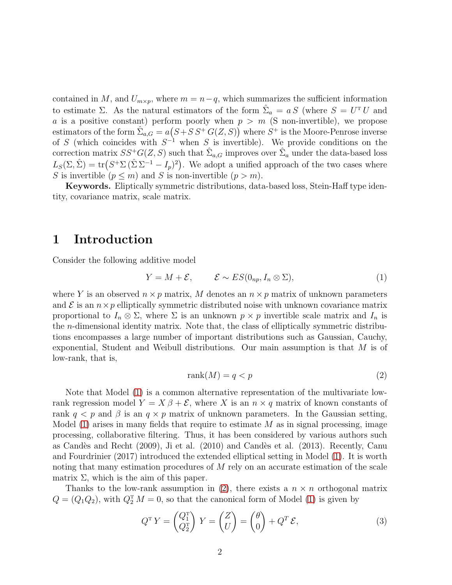contained in M, and  $U_{m\times p}$ , where  $m = n-q$ , which summarizes the sufficient information to estimate  $\Sigma$ . As the natural estimators of the form  $\hat{\Sigma}_a = a S$  (where  $S = U^T U$  and a is a positive constant) perform poorly when  $p > m$  (S non-invertible), we propose estimators of the form  $\hat{\Sigma}_{a,G} = a(S + SS + G(Z, S))$  where  $S^+$  is the Moore-Penrose inverse of S (which coincides with  $S^{-1}$  when S is invertible). We provide conditions on the correction matrix  $SS^+G(Z, S)$  such that  $\hat{\Sigma}_{a,G}$  improves over  $\hat{\Sigma}_a$  under the data-based loss  $L_S(\Sigma, \hat{\Sigma}) = \text{tr}(S^+ \Sigma (\hat{\Sigma} \Sigma^{-1} - I_p)^2)$ . We adopt a unified approach of the two cases where S is invertible  $(p \leq m)$  and S is non-invertible  $(p > m)$ .

Keywords. Eliptically symmetric distributions, data-based loss, Stein-Haff type identity, covariance matrix, scale matrix.

#### 1 Introduction

Consider the following additive model

$$
Y = M + \mathcal{E}, \qquad \mathcal{E} \sim ES(0_{np}, I_n \otimes \Sigma), \tag{1}
$$

where Y is an observed  $n \times p$  matrix, M denotes an  $n \times p$  matrix of unknown parameters and  $\mathcal E$  is an  $n \times p$  elliptically symmetric distributed noise with unknown covariance matrix proportional to  $I_n \otimes \Sigma$ , where  $\Sigma$  is an unknown  $p \times p$  invertible scale matrix and  $I_n$  is the n-dimensional identity matrix. Note that, the class of elliptically symmetric distributions encompasses a large number of important distributions such as Gaussian, Cauchy, exponential, Student and Weibull distributions. Our main assumption is that M is of low-rank, that is,

<span id="page-1-1"></span><span id="page-1-0"></span>
$$
rank(M) = q < p \tag{2}
$$

Note that Model [\(1\)](#page-1-0) is a common alternative representation of the multivariate lowrank regression model  $Y = X \beta + \mathcal{E}$ , where X is an  $n \times q$  matrix of known constants of rank  $q < p$  and  $\beta$  is an  $q \times p$  matrix of unknown parameters. In the Gaussian setting, Model  $(1)$  arises in many fields that require to estimate M as in signal processing, image processing, collaborative filtering. Thus, it has been considered by various authors such as Candès and Recht (2009), Ji et al. (2010) and Candès et al. (2013). Recently, Canu and Fourdrinier (2017) introduced the extended elliptical setting in Model [\(1\)](#page-1-0). It is worth noting that many estimation procedures of  $M$  rely on an accurate estimation of the scale matrix  $\Sigma$ , which is the aim of this paper.

Thanks to the low-rank assumption in [\(2\)](#page-1-1), there exists a  $n \times n$  orthogonal matrix  $Q = (Q_1 Q_2)$ , with  $Q_2^T M = 0$ , so that the canonical form of Model [\(1\)](#page-1-0) is given by

<span id="page-1-2"></span>
$$
Q^{\mathrm{T}} Y = \begin{pmatrix} Q_1^{\mathrm{T}} \\ Q_2^{\mathrm{T}} \end{pmatrix} Y = \begin{pmatrix} Z \\ U \end{pmatrix} = \begin{pmatrix} \theta \\ 0 \end{pmatrix} + Q^T \mathcal{E}, \tag{3}
$$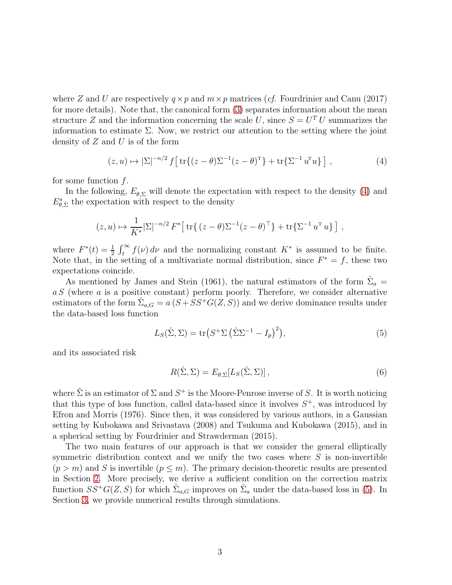where Z and U are respectively  $q \times p$  and  $m \times p$  matrices (*cf.* Fourdrinier and Canu (2017) for more details). Note that, the canonical form [\(3\)](#page-1-2) separates information about the mean structure Z and the information concerning the scale U, since  $S = U<sup>T</sup> U$  summarizes the information to estimate  $\Sigma$ . Now, we restrict our attention to the setting where the joint density of  $Z$  and  $U$  is of the form

<span id="page-2-0"></span>
$$
(z, u) \mapsto |\Sigma|^{-n/2} f \left[ \operatorname{tr} \{ (z - \theta) \Sigma^{-1} (z - \theta)^{\mathrm{T}} \} + \operatorname{tr} \{ \Sigma^{-1} u^{\mathrm{T}} u \} \right], \tag{4}
$$

for some function  $f$ .

In the following,  $E_{\theta, \Sigma}$  will denote the expectation with respect to the density [\(4\)](#page-2-0) and  $E_{\theta, \Sigma}^*$  the expectation with respect to the density

$$
(z, u) \mapsto \frac{1}{K^*} |\Sigma|^{-n/2} F^* \big[ \operatorname{tr} \{ (z - \theta) \Sigma^{-1} (z - \theta)^{\top} \} + \operatorname{tr} \{ \Sigma^{-1} u^{\top} u \} \big],
$$

where  $F^*(t) = \frac{1}{2} \int_t^{\infty} f(v) dv$  and the normalizing constant  $K^*$  is assumed to be finite. Note that, in the setting of a multivariate normal distribution, since  $F^* = f$ , these two expectations coincide.

As mentioned by James and Stein (1961), the natural estimators of the form  $\hat{\Sigma}_a$  =  $a S$  (where  $a$  is a positive constant) perform poorly. Therefore, we consider alternative estimators of the form  $\hat{\Sigma}_{a,G} = a(S + SS^{+}G(Z, S))$  and we derive dominance results under the data-based loss function

$$
L_S(\hat{\Sigma}, \Sigma) = \text{tr}\big(S^+ \Sigma \left(\hat{\Sigma} \Sigma^{-1} - I_p\right)^2\big),\tag{5}
$$

and its associated risk

<span id="page-2-1"></span>
$$
R(\hat{\Sigma}, \Sigma) = E_{\theta, \Sigma} [L_S(\hat{\Sigma}, \Sigma)], \qquad (6)
$$

where  $\hat{\Sigma}$  is an estimator of  $\Sigma$  and  $S^+$  is the Moore-Penrose inverse of S. It is worth noticing that this type of loss function, called data-based since it involves  $S^+$ , was introduced by Efron and Morris (1976). Since then, it was considered by various authors, in a Gaussian setting by Kubokawa and Srivastava (2008) and Tsukuma and Kubokawa (2015), and in a spherical setting by Fourdrinier and Strawderman (2015).

The two main features of our approach is that we consider the general elliptically symmetric distribution context and we unify the two cases where  $S$  is non-invertible  $(p > m)$  and S is invertible  $(p \leq m)$ . The primary decision-theoretic results are presented in Section [2.](#page-3-0) More precisely, we derive a sufficient condition on the correction matrix function  $SS^+G(Z, S)$  for which  $\hat{\Sigma}_{a,G}$  improves on  $\hat{\Sigma}_a$  under the data-based loss in [\(5\)](#page-2-1). In Section [3,](#page-4-0) we provide numerical results through simulations.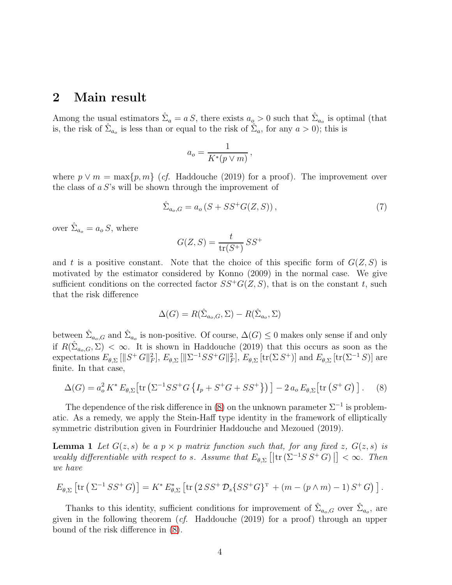### <span id="page-3-0"></span>2 Main result

Among the usual estimators  $\hat{\Sigma}_a = a S$ , there exists  $a_o > 0$  such that  $\hat{\Sigma}_{a_o}$  is optimal (that is, the risk of  $\hat{\Sigma}_{a_0}$  is less than or equal to the risk of  $\hat{\Sigma}_a$ , for any  $a > 0$ ); this is

$$
a_o = \frac{1}{K^*(p \vee m)},
$$

where  $p \vee m = \max\{p, m\}$  (*cf.* Haddouche (2019) for a proof). The improvement over the class of  $a S$ 's will be shown through the improvement of

$$
\hat{\Sigma}_{a_o,G} = a_o \left( S + S S^+ G(Z,S) \right),\tag{7}
$$

over  $\hat{\Sigma}_{a_o} = a_o S$ , where

$$
G(Z, S) = \frac{t}{\text{tr}(S^+)} S S^+
$$

and t is a positive constant. Note that the choice of this specific form of  $G(Z, S)$  is motivated by the estimator considered by Konno (2009) in the normal case. We give sufficient conditions on the corrected factor  $SS^+G(Z, S)$ , that is on the constant t, such that the risk difference

<span id="page-3-1"></span>
$$
\Delta(G) = R(\hat{\Sigma}_{a_o,G}, \Sigma) - R(\hat{\Sigma}_{a_o}, \Sigma)
$$

between  $\hat{\Sigma}_{a_o,G}$  and  $\hat{\Sigma}_{a_o}$  is non-positive. Of course,  $\Delta(G) \leq 0$  makes only sense if and only if  $R(\hat{\Sigma}_{a_o,G},\Sigma)<\infty$ . It is shown in Haddouche (2019) that this occurs as soon as the expectations  $E_{\theta, \Sigma} \left[ \lVert S^+ G \rVert_F^2 \right]$  $_{F}^{2}], E_{\theta, \Sigma} [\Vert \Sigma^{-1} S S^{+} G \Vert_{F}^{2}]$  $E_{\theta,\Sigma}$  [tr( $\Sigma S^+$ )] and  $E_{\theta,\Sigma}$  [tr( $\Sigma^{-1} S$ )] are finite. In that case,

$$
\Delta(G) = a_o^2 K^* E_{\theta, \Sigma} \left[ \text{tr} \left( \Sigma^{-1} S S^+ G \left\{ I_p + S^+ G + S S^+ \right\} \right) \right] - 2 a_o E_{\theta, \Sigma} \left[ \text{tr} \left( S^+ G \right) \right]. \tag{8}
$$

The dependence of the risk difference in [\(8\)](#page-3-1) on the unknown parameter  $\Sigma^{-1}$  is problematic. As a remedy, we apply the Stein-Haff type identity in the framework of elliptically symmetric distribution given in Fourdrinier Haddouche and Mezoued (2019).

**Lemma 1** Let  $G(z, s)$  be a  $p \times p$  matrix function such that, for any fixed z,  $G(z, s)$  is weakly differentiable with respect to s. Assume that  $E_{\theta, \Sigma}$   $[$  $|\text{tr}(\Sigma^{-1}SS^+G)|$   $] < \infty$ . Then we have

$$
E_{\theta,\Sigma}\left[\text{tr}\left(\Sigma^{-1}SS^+G\right)\right] = K^*E_{\theta,\Sigma}^*\left[\text{tr}\left(2SS^+D_s\{SS^+G\}^{\mathrm{T}} + \left(m - \left(p\wedge m\right) - 1\right)S^+G\right)\right].
$$

Thanks to this identity, sufficient conditions for improvement of  $\hat{\Sigma}_{a_o,G}$  over  $\hat{\Sigma}_{a_o}$ , are given in the following theorem (cf. Haddouche (2019) for a proof) through an upper bound of the risk difference in [\(8\)](#page-3-1).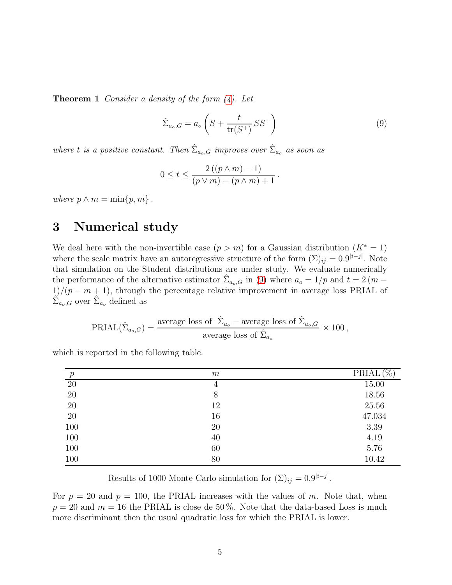**Theorem 1** Consider a density of the form  $(4)$ . Let

<span id="page-4-1"></span>
$$
\hat{\Sigma}_{a_o,G} = a_o \left( S + \frac{t}{\text{tr}(S^+)} SS^+ \right) \tag{9}
$$

where t is a positive constant. Then  $\hat{\Sigma}_{a_o,G}$  improves over  $\hat{\Sigma}_{a_o}$  as soon as

$$
0 \leq t \leq \frac{2((p\wedge m)-1)}{(p\vee m)-(p\wedge m)+1}.
$$

<span id="page-4-0"></span>where  $p \wedge m = \min\{p, m\}$ .

## 3 Numerical study

We deal here with the non-invertible case  $(p > m)$  for a Gaussian distribution  $(K^* = 1)$ where the scale matrix have an autoregressive structure of the form  $(\Sigma)_{ij} = 0.9^{|i-j|}$ . Note that simulation on the Student distributions are under study. We evaluate numerically the performance of the alternative estimator  $\hat{\Sigma}_{a_o,G}$  in [\(9\)](#page-4-1) where  $a_o = 1/p$  and  $t = 2(m 1/(p - m + 1)$ , through the percentage relative improvement in average loss PRIAL of  $\hat{\Sigma}_{a_o,G}$  over  $\hat{\Sigma}_{a_o}$  defined as

$$
PRIAL(\hat{\Sigma}_{a_o,G}) = \frac{\text{average loss of }\hat{\Sigma}_{a_o} - \text{average loss of }\hat{\Sigma}_{a_o,G}}{\text{average loss of }\hat{\Sigma}_{a_o}} \times 100 \,,
$$

which is reported in the following table.

| $\boldsymbol{p}$ | m  | $PRIAL(\%)$ |
|------------------|----|-------------|
| $20\,$           | 4  | 15.00       |
| $20\,$           | 8  | 18.56       |
| $20\,$           | 12 | 25.56       |
| $20\,$           | 16 | 47.034      |
| 100              | 20 | 3.39        |
| 100              | 40 | 4.19        |
| 100              | 60 | 5.76        |
| 100              | 80 | 10.42       |

Results of 1000 Monte Carlo simulation for  $(\Sigma)_{ij} = 0.9^{|i-j|}$ .

For  $p = 20$  and  $p = 100$ , the PRIAL increases with the values of m. Note that, when  $p = 20$  and  $m = 16$  the PRIAL is close de 50%. Note that the data-based Loss is much more discriminant then the usual quadratic loss for which the PRIAL is lower.